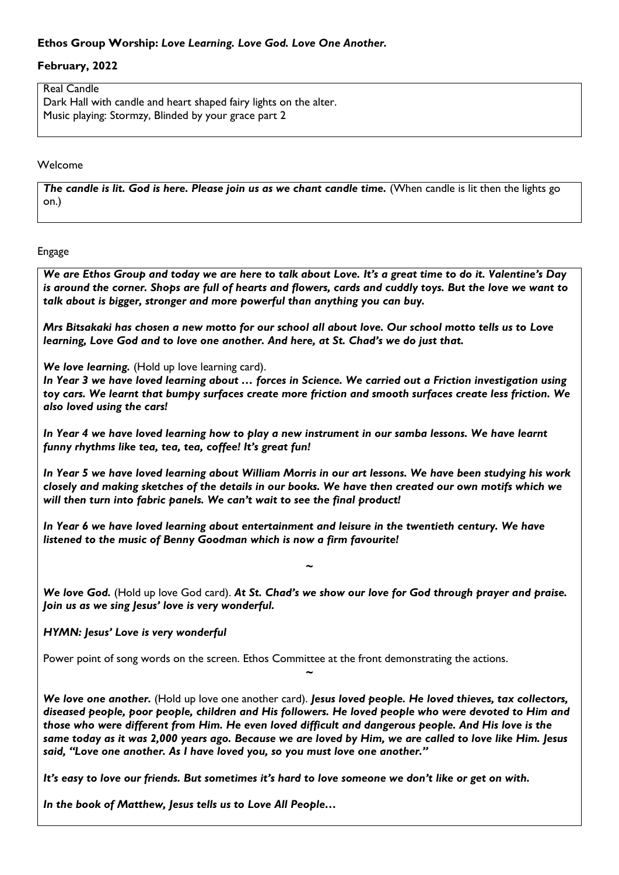# **Ethos Group Worship:** *Love Learning. Love God. Love One Another.*

## **February, 2022**

Real Candle Dark Hall with candle and heart shaped fairy lights on the alter. Music playing: Stormzy, Blinded by your grace part 2

Welcome

*The candle is lit. God is here. Please join us as we chant candle time.* (When candle is lit then the lights go on.)

Engage

*We are Ethos Group and today we are here to talk about Love. It's a great time to do it. Valentine's Day is around the corner. Shops are full of hearts and flowers, cards and cuddly toys. But the love we want to talk about is bigger, stronger and more powerful than anything you can buy.* 

*Mrs Bitsakaki has chosen a new motto for our school all about love. Our school motto tells us to Love learning, Love God and to love one another. And here, at St. Chad's we do just that.* 

*We love learning.* (Hold up love learning card).

*In Year 3 we have loved learning about … forces in Science. We carried out a Friction investigation using toy cars. We learnt that bumpy surfaces create more friction and smooth surfaces create less friction. We also loved using the cars!*

*In Year 4 we have loved learning how to play a new instrument in our samba lessons. We have learnt funny rhythms like tea, tea, tea, coffee! It's great fun!*

*In Year 5 we have loved learning about William Morris in our art lessons. We have been studying his work closely and making sketches of the details in our books. We have then created our own motifs which we will then turn into fabric panels. We can't wait to see the final product!*

*In Year 6 we have loved learning about entertainment and leisure in the twentieth century. We have listened to the music of Benny Goodman which is now a firm favourite!*

*We love God.* (Hold up love God card). *At St. Chad's we show our love for God through prayer and praise. Join us as we sing Jesus' love is very wonderful.* 

*~*

## *HYMN: Jesus' Love is very wonderful*

Power point of song words on the screen. Ethos Committee at the front demonstrating the actions.

*We love one another.* (Hold up love one another card). *Jesus loved people. He loved thieves, tax collectors, diseased people, poor people, children and His followers. He loved people who were devoted to Him and those who were different from Him. He even loved difficult and dangerous people. And His love is the same today as it was 2,000 years ago. Because we are loved by Him, we are called to love like Him. Jesus said, "Love one another. As I have loved you, so you must love one another."*

*~*

*It's easy to love our friends. But sometimes it's hard to love someone we don't like or get on with.*

*In the book of Matthew, Jesus tells us to Love All People…*